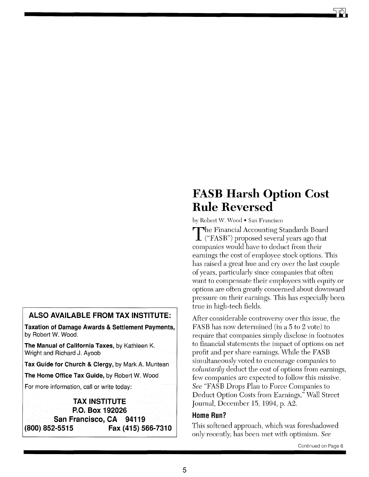## **ALSO AVAILABLE FROM TAX INSTITUTE:**

**Taxation of Damage Awards & Settlement Payments,**  by Robert W. Wood.

**The Manual of California Taxes,** by Kathleen K. Wright and Richard J. Ayoob

**Tax Guide for Church & Clergy,** by Mark A. Muntean

**The Home Office Tax Guide,** by Robert W. Wood

For more information, call or write today:

**TAX INSTITUTE P.O. Box 192026 San Francisco, CA 94119 (800) 852-5515 Fax (415) 566-7310** 

## **FASB Harsh Option Cost Rule Reversed**

by Robert W. Wood • San Francisco

The Financial Accounting Standards Board  $\perp$  ("FASB") proposed several years ago that companies would have to deduct from their earnings the cost of employee stock options. This has raised a great hue and cry over the last couple of years, particularly since companies that often want to compensate their employees with equity or options are often greatly concerned about downward pressure on their earnings. This has especially been true in high-tech fields.

After considerable controversy over this issue, the FASB has now determined (in a 5 to 2 vote) to require that companies simply disclose in footnotes to financial statements the impact of options on net profit and per share earnings. While the FASB simultaneously voted to encourage companies to *voluntarily* deduct the cost of options from earnings, few companies are expected to follow this missive. *See* "FASB Drops Plan to Force Companies to Deduct Option Costs from Earnings," Wall Street Journal, December 15, 1994, p.  $A2$ .

### **Home Run?**

This softened approach, which was foreshadowed only recently, has been met with optimism. *See*